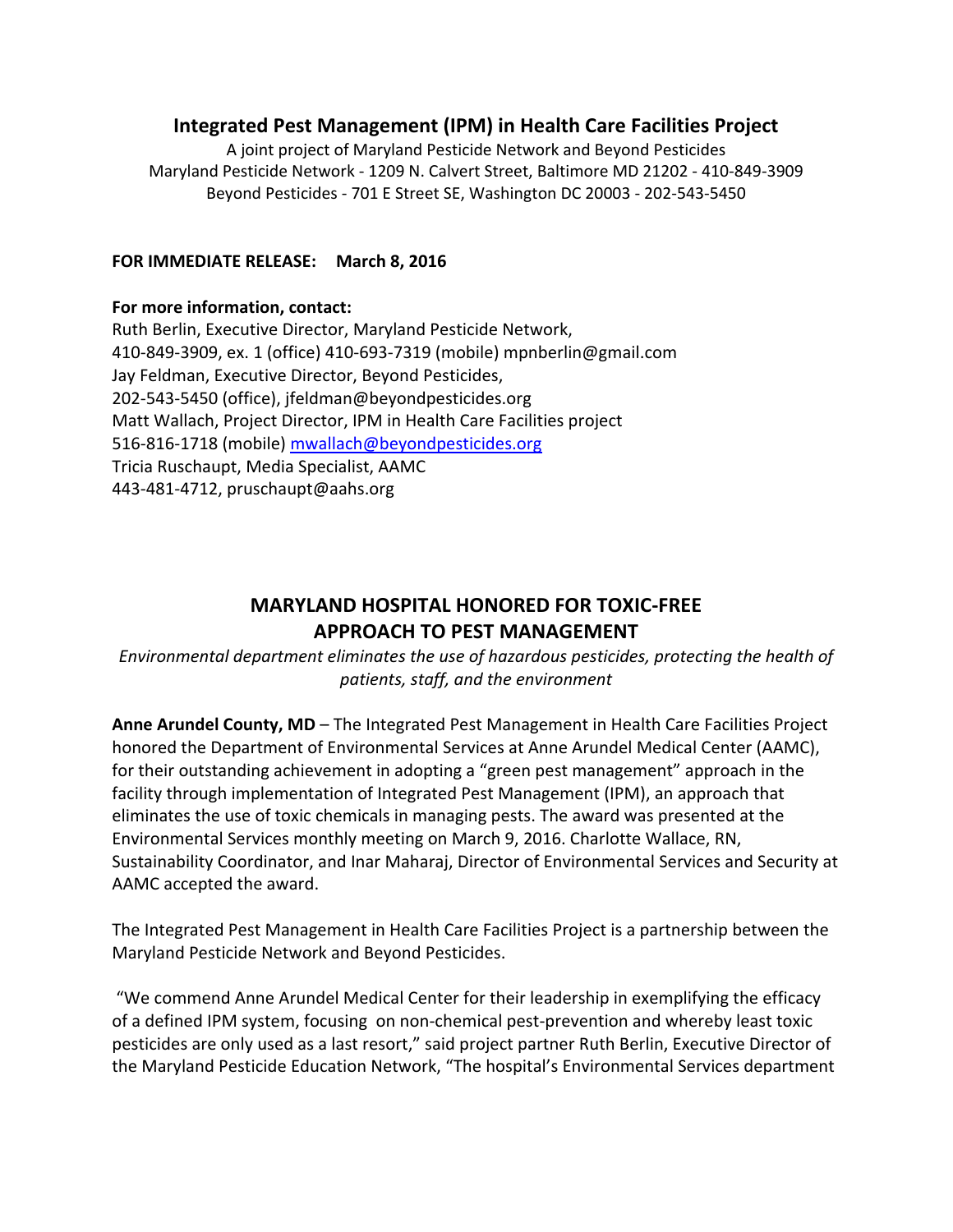## **Integrated Pest Management (IPM) in Health Care Facilities Project**

A joint project of Maryland Pesticide Network and Beyond Pesticides Maryland Pesticide Network - 1209 N. Calvert Street, Baltimore MD 21202 - 410-849-3909 Beyond Pesticides - 701 E Street SE, Washington DC 20003 - 202-543-5450

## **FOR IMMEDIATE RELEASE: March 8, 2016**

## **For more information, contact:**

Ruth Berlin, Executive Director, Maryland Pesticide Network, 410-849-3909, ex. 1 (office) 410-693-7319 (mobile) mpnberlin@gmail.com Jay Feldman, Executive Director, Beyond Pesticides, 202-543-5450 (office), [jfeldman@beyondpesticides.org](mailto:jfeldman@beyondpesticides.org) Matt Wallach, Project Director, IPM in Health Care Facilities project 516-816-1718 (mobile) [mwallach@beyondpesticides.org](mailto:mwallach@beyondpesticides.org) Tricia Ruschaupt, Media Specialist, AAMC 443-481-4712, pruschaupt@aahs.org

## **MARYLAND HOSPITAL HONORED FOR TOXIC-FREE APPROACH TO PEST MANAGEMENT**

*Environmental department eliminates the use of hazardous pesticides, protecting the health of patients, staff, and the environment*

**Anne Arundel County, MD** – The Integrated Pest Management in Health Care Facilities Project honored the Department of Environmental Services at Anne Arundel Medical Center (AAMC), for their outstanding achievement in adopting a "green pest management" approach in the facility through implementation of Integrated Pest Management (IPM), an approach that eliminates the use of toxic chemicals in managing pests. The award was presented at the Environmental Services monthly meeting on March 9, 2016. Charlotte Wallace, RN, Sustainability Coordinator, and Inar Maharaj, Director of Environmental Services and Security at AAMC accepted the award.

The Integrated Pest Management in Health Care Facilities Project is a partnership between the Maryland Pesticide Network and Beyond Pesticides.

"We commend Anne Arundel Medical Center for their leadership in exemplifying the efficacy of a defined IPM system, focusing on non-chemical pest-prevention and whereby least toxic pesticides are only used as a last resort," said project partner Ruth Berlin, Executive Director of the Maryland Pesticide Education Network, "The hospital's Environmental Services department